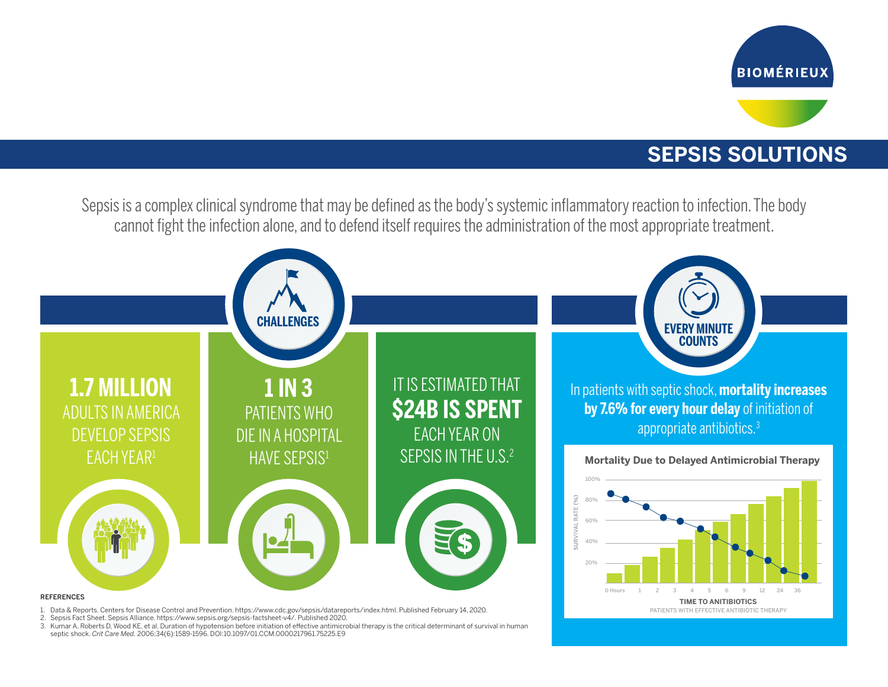

## **SEPSIS SOLUTIONS**

Sepsis is a complex clinical syndrome that may be defined as the body's systemic inflammatory reaction to infection. The body cannot fight the infection alone, and to defend itself requires the administration of the most appropriate treatment.



2. Sepsis Fact Sheet. Sepsis Alliance. https://www.sepsis.org/sepsis-factsheet-v4/. Published 2020.

3. Kumar A, Roberts D, Wood KE, et al. Duration of hypotension before initiation of effective antimicrobial therapy is the critical determinant of survival in human septic shock. *Crit Care Med.* 2006;34(6):1589-1596. DOI:10.1097/01.CCM.0000217961.75225.E9